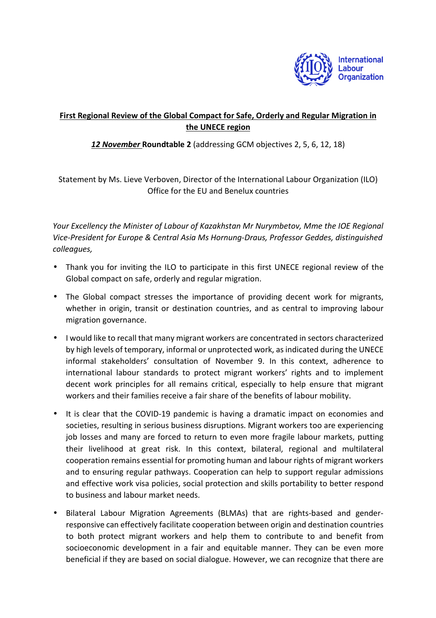

## **First Regional Review of the Global Compact for Safe, Orderly and Regular Migration in the UNECE region**

## *12 November* **Roundtable 2** (addressing GCM objectives 2, 5, 6, 12, 18)

Statement by Ms. Lieve Verboven, Director of the International Labour Organization (ILO) Office for the EU and Benelux countries

*Your Excellency the Minister of Labour of Kazakhstan Mr Nurymbetov, Mme the IOE Regional Vice-President for Europe & Central Asia Ms Hornung-Draus, Professor Geddes, distinguished colleagues,* 

- Thank you for inviting the ILO to participate in this first UNECE regional review of the Global compact on safe, orderly and regular migration.
- The Global compact stresses the importance of providing decent work for migrants, whether in origin, transit or destination countries, and as central to improving labour migration governance.
- I would like to recall that many migrant workers are concentrated in sectors characterized by high levels of temporary, informal or unprotected work, as indicated during the UNECE informal stakeholders' consultation of November 9. In this context, adherence to international labour standards to protect migrant workers' rights and to implement decent work principles for all remains critical, especially to help ensure that migrant workers and their families receive a fair share of the benefits of labour mobility.
- It is clear that the COVID-19 pandemic is having a dramatic impact on economies and societies, resulting in serious business disruptions. Migrant workers too are experiencing job losses and many are forced to return to even more fragile labour markets, putting their livelihood at great risk. In this context, bilateral, regional and multilateral cooperation remains essential for promoting human and labour rights of migrant workers and to ensuring regular pathways. Cooperation can help to support regular admissions and effective work visa policies, social protection and skills portability to better respond to business and labour market needs.
- Bilateral Labour Migration Agreements (BLMAs) that are rights-based and genderresponsive can effectively facilitate cooperation between origin and destination countries to both protect migrant workers and help them to contribute to and benefit from socioeconomic development in a fair and equitable manner. They can be even more beneficial if they are based on social dialogue. However, we can recognize that there are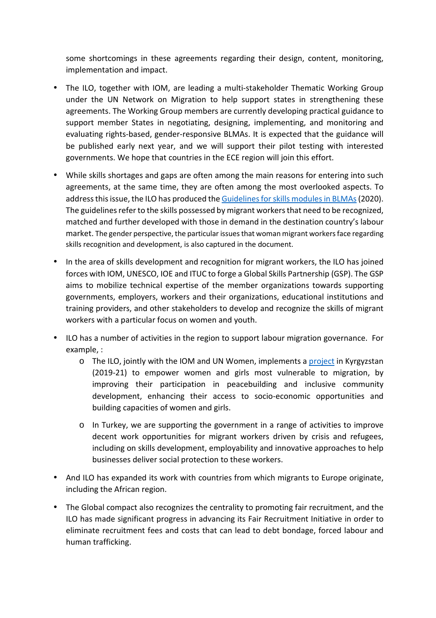some shortcomings in these agreements regarding their design, content, monitoring, implementation and impact.

- The ILO, together with IOM, are leading a multi-stakeholder Thematic Working Group under the UN Network on Migration to help support states in strengthening these agreements. The Working Group members are currently developing practical guidance to support member States in negotiating, designing, implementing, and monitoring and evaluating rights-based, gender-responsive BLMAs. It is expected that the guidance will be published early next year, and we will support their pilot testing with interested governments. We hope that countries in the ECE region will join this effort.
- While skills shortages and gaps are often among the main reasons for entering into such agreements, at the same time, they are often among the most overlooked aspects. To address this issue, the ILO has produced the Guidelines for skills modules in BLMAs (2020). The guidelines refer to the skills possessed by migrant workers that need to be recognized, matched and further developed with those in demand in the destination country's labour market. The gender perspective, the particular issues that woman migrant workers face regarding skills recognition and development, is also captured in the document.
- In the area of skills development and recognition for migrant workers, the ILO has joined forces with IOM, UNESCO, IOE and ITUC to forge a Global Skills Partnership (GSP). The GSP aims to mobilize technical expertise of the member organizations towards supporting governments, employers, workers and their organizations, educational institutions and training providers, and other stakeholders to develop and recognize the skills of migrant workers with a particular focus on women and youth.
- ILO has a number of activities in the region to support labour migration governance. For example, :
	- $\circ$  The ILO, jointly with the IOM and UN Women, implements a project in Kyrgyzstan (2019-21) to empower women and girls most vulnerable to migration, by improving their participation in peacebuilding and inclusive community development, enhancing their access to socio-economic opportunities and building capacities of women and girls.
	- o In Turkey, we are supporting the government in a range of activities to improve decent work opportunities for migrant workers driven by crisis and refugees, including on skills development, employability and innovative approaches to help businesses deliver social protection to these workers.
- And ILO has expanded its work with countries from which migrants to Europe originate, including the African region.
- The Global compact also recognizes the centrality to promoting fair recruitment, and the ILO has made significant progress in advancing its Fair Recruitment Initiative in order to eliminate recruitment fees and costs that can lead to debt bondage, forced labour and human trafficking.